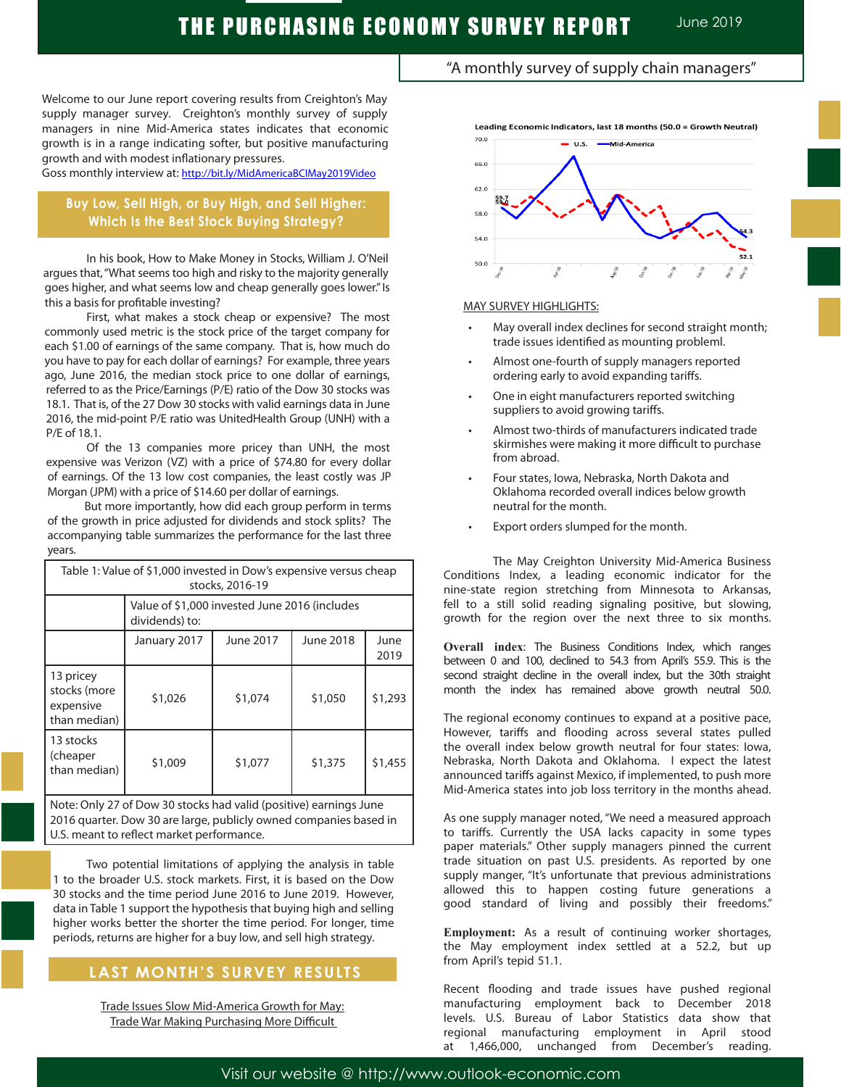"A monthly survey of supply chain managers"

Welcome to our June report covering results from Creighton's May supply manager survey. Creighton's monthly survey of supply managers in nine Mid-America states indicates that economic growth is in a range indicating softer, but positive manufacturing growth and with modest inflationary pressures.

Goss monthly interview at: http://bit.ly/MidAmericaBCIMay2019Video

# **Buy Low, Sell High, or Buy High, and Sell Higher: Which Is the Best Stock Buying Strategy?**

In his book, How to Make Money in Stocks, William J. O'Neil argues that, "What seems too high and risky to the majority generally goes higher, and what seems low and cheap generally goes lower." Is this a basis for profitable investing?

First, what makes a stock cheap or expensive? The most commonly used metric is the stock price of the target company for each \$1.00 of earnings of the same company. That is, how much do you have to pay for each dollar of earnings? For example, three years ago, June 2016, the median stock price to one dollar of earnings, referred to as the Price/Earnings (P/E) ratio of the Dow 30 stocks was 18.1. That is, of the 27 Dow 30 stocks with valid earnings data in June 2016, the mid-point P/E ratio was UnitedHealth Group (UNH) with a P/E of 18.1.

 Of the 13 companies more pricey than UNH, the most expensive was Verizon (VZ) with a price of \$74.80 for every dollar of earnings. Of the 13 low cost companies, the least costly was JP Morgan (JPM) with a price of \$14.60 per dollar of earnings.

 But more importantly, how did each group perform in terms of the growth in price adjusted for dividends and stock splits? The accompanying table summarizes the performance for the last three years.

| Table 1: Value of \$1,000 invested in Dow's expensive versus cheap<br>stocks, 2016-19 |                                                                 |           |                  |              |
|---------------------------------------------------------------------------------------|-----------------------------------------------------------------|-----------|------------------|--------------|
|                                                                                       | Value of \$1,000 invested June 2016 (includes<br>dividends) to: |           |                  |              |
|                                                                                       | January 2017                                                    | June 2017 | <b>June 2018</b> | June<br>2019 |
| 13 pricey<br>stocks (more<br>expensive<br>than median)                                | \$1,026                                                         | \$1,074   | \$1,050          | \$1,293      |
| 13 stocks<br>(cheaper<br>than median)                                                 | \$1,009                                                         | \$1,077   | \$1,375          | \$1,455      |
| Note: Only 27 of Dow 30 stocks had valid (positive) earnings June                     |                                                                 |           |                  |              |

w 30 stocks had valid (positive) earnings June 2016 quarter. Dow 30 are large, publicly owned companies based in U.S. meant to reflect market performance.

Two potential limitations of applying the analysis in table 1 to the broader U.S. stock markets. First, it is based on the Dow 30 stocks and the time period June 2016 to June 2019. However, data in Table 1 support the hypothesis that buying high and selling higher works better the shorter the time period. For longer, time periods, returns are higher for a buy low, and sell high strategy.

# **LAST MONTH'S SURVEY RESULTS**

 $\overline{1}$ 

Trade Issues Slow Mid-America Growth for May: Trade War Making Purchasing More Difficult



### MAY SURVEY HIGHLIGHTS:

- May overall index declines for second straight month; trade issues identified as mounting probleml.
- Almost one-fourth of supply managers reported ordering early to avoid expanding tariffs.
- One in eight manufacturers reported switching suppliers to avoid growing tariffs.
- Almost two-thirds of manufacturers indicated trade skirmishes were making it more difficult to purchase from abroad.
- Four states, Iowa, Nebraska, North Dakota and Oklahoma recorded overall indices below growth neutral for the month.
- Export orders slumped for the month.

The May Creighton University Mid-America Business Conditions Index, a leading economic indicator for the nine-state region stretching from Minnesota to Arkansas, fell to a still solid reading signaling positive, but slowing, growth for the region over the next three to six months.

**Overall index**: The Business Conditions Index, which ranges between 0 and 100, declined to 54.3 from April's 55.9. This is the second straight decline in the overall index, but the 30th straight month the index has remained above growth neutral 50.0.

The regional economy continues to expand at a positive pace, However, tariffs and flooding across several states pulled the overall index below growth neutral for four states: Iowa, Nebraska, North Dakota and Oklahoma. I expect the latest announced tariffs against Mexico, if implemented, to push more Mid-America states into job loss territory in the months ahead.

As one supply manager noted, "We need a measured approach to tariffs. Currently the USA lacks capacity in some types paper materials." Other supply managers pinned the current trade situation on past U.S. presidents. As reported by one supply manger, "It's unfortunate that previous administrations allowed this to happen costing future generations a good standard of living and possibly their freedoms."

**Employment:** As a result of continuing worker shortages, the May employment index settled at a 52.2, but up from April's tepid 51.1.

Recent flooding and trade issues have pushed regional manufacturing employment back to December 2018 levels. U.S. Bureau of Labor Statistics data show that regional manufacturing employment in April stood at 1,466,000, unchanged from December's reading.

Visit our website @ http://www.outlook-economic.com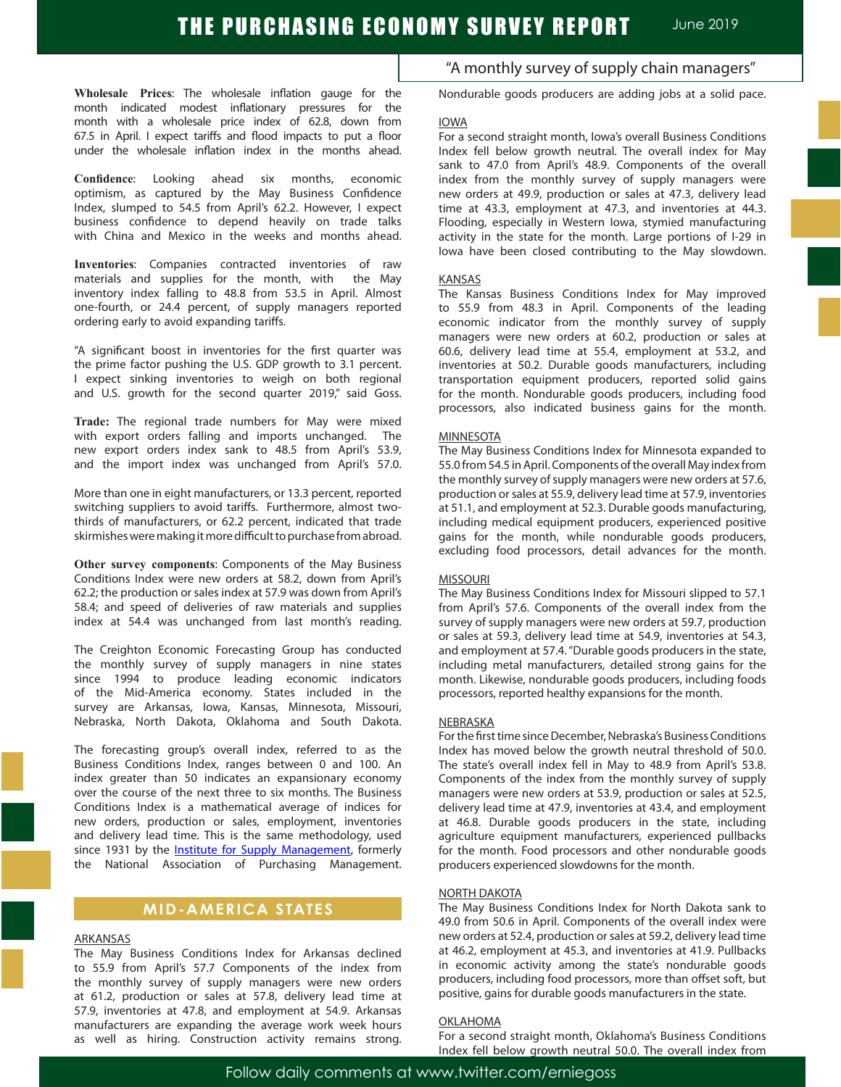**Wholesale Prices**: The wholesale inflation gauge for the month indicated modest inflationary pressures for the month with a wholesale price index of 62.8, down from 67.5 in April. I expect tariffs and flood impacts to put a floor under the wholesale inflation index in the months ahead.

**Confidence**: Looking ahead six months, economic optimism, as captured by the May Business Confidence Index, slumped to 54.5 from April's 62.2. However, I expect business confidence to depend heavily on trade talks with China and Mexico in the weeks and months ahead.

**Inventories**: Companies contracted inventories of raw materials and supplies for the month, with the May inventory index falling to 48.8 from 53.5 in April. Almost one-fourth, or 24.4 percent, of supply managers reported ordering early to avoid expanding tariffs. .

"A significant boost in inventories for the first quarter was the prime factor pushing the U.S. GDP growth to 3.1 percent. I expect sinking inventories to weigh on both regional and U.S. growth for the second quarter 2019," said Goss.

**Trade:** The regional trade numbers for May were mixed with export orders falling and imports unchanged. The new export orders index sank to 48.5 from April's 53.9, and the import index was unchanged from April's 57.0.

More than one in eight manufacturers, or 13.3 percent, reported switching suppliers to avoid tariffs. Furthermore, almost twothirds of manufacturers, or 62.2 percent, indicated that trade skirmishes were making it more difficult to purchase from abroad.

**Other survey components**: Components of the May Business Conditions Index were new orders at 58.2, down from April's 62.2; the production or sales index at 57.9 was down from April's 58.4; and speed of deliveries of raw materials and supplies index at 54.4 was unchanged from last month's reading.

The Creighton Economic Forecasting Group has conducted the monthly survey of supply managers in nine states since 1994 to produce leading economic indicators of the Mid-America economy. States included in the survey are Arkansas, Iowa, Kansas, Minnesota, Missouri, Nebraska, North Dakota, Oklahoma and South Dakota.

The forecasting group's overall index, referred to as the Business Conditions Index, ranges between 0 and 100. An index greater than 50 indicates an expansionary economy over the course of the next three to six months. The Business Conditions Index is a mathematical average of indices for new orders, production or sales, employment, inventories and delivery lead time. This is the same methodology, used since 1931 by the **Institute for Supply Management**, formerly the National Association of Purchasing Management.

## **MID-AMERICA STATES**

### ARKANSAS

The May Business Conditions Index for Arkansas declined to 55.9 from April's 57.7 Components of the index from the monthly survey of supply managers were new orders at 61.2, production or sales at 57.8, delivery lead time at 57.9, inventories at 47.8, and employment at 54.9. Arkansas manufacturers are expanding the average work week hours as well as hiring. Construction activity remains strong.

"A monthly survey of supply chain managers"

Nondurable goods producers are adding jobs at a solid pace.

### IOWA

For a second straight month, Iowa's overall Business Conditions Index fell below growth neutral. The overall index for May sank to 47.0 from April's 48.9. Components of the overall index from the monthly survey of supply managers were new orders at 49.9, production or sales at 47.3, delivery lead time at 43.3, employment at 47.3, and inventories at 44.3. Flooding, especially in Western Iowa, stymied manufacturing activity in the state for the month. Large portions of I-29 in Iowa have been closed contributing to the May slowdown.

#### **KANSAS**

The Kansas Business Conditions Index for May improved to 55.9 from 48.3 in April. Components of the leading economic indicator from the monthly survey of supply managers were new orders at 60.2, production or sales at 60.6, delivery lead time at 55.4, employment at 53.2, and inventories at 50.2. Durable goods manufacturers, including transportation equipment producers, reported solid gains for the month. Nondurable goods producers, including food processors, also indicated business gains for the month.

#### **MINNESOTA**

The May Business Conditions Index for Minnesota expanded to 55.0 from 54.5 in April. Components of the overall May index from the monthly survey of supply managers were new orders at 57.6, production or sales at 55.9, delivery lead time at 57.9, inventories at 51.1, and employment at 52.3. Durable goods manufacturing, including medical equipment producers, experienced positive gains for the month, while nondurable goods producers, excluding food processors, detail advances for the month.

#### MISSOURI

The May Business Conditions Index for Missouri slipped to 57.1 from April's 57.6. Components of the overall index from the survey of supply managers were new orders at 59.7, production or sales at 59.3, delivery lead time at 54.9, inventories at 54.3, and employment at 57.4. "Durable goods producers in the state, including metal manufacturers, detailed strong gains for the month. Likewise, nondurable goods producers, including foods processors, reported healthy expansions for the month.

#### **NEBRASKA**

For the first time since December, Nebraska's Business Conditions Index has moved below the growth neutral threshold of 50.0. The state's overall index fell in May to 48.9 from April's 53.8. Components of the index from the monthly survey of supply managers were new orders at 53.9, production or sales at 52.5, delivery lead time at 47.9, inventories at 43.4, and employment at 46.8. Durable goods producers in the state, including agriculture equipment manufacturers, experienced pullbacks for the month. Food processors and other nondurable goods producers experienced slowdowns for the month.

### NORTH DAKOTA

The May Business Conditions Index for North Dakota sank to 49.0 from 50.6 in April. Components of the overall index were new orders at 52.4, production or sales at 59.2, delivery lead time at 46.2, employment at 45.3, and inventories at 41.9. Pullbacks in economic activity among the state's nondurable goods producers, including food processors, more than offset soft, but positive, gains for durable goods manufacturers in the state.

### **OKLAHOMA**

For a second straight month, Oklahoma's Business Conditions Index fell below growth neutral 50.0. The overall index from

Follow daily comments at www.twitter.com/erniegoss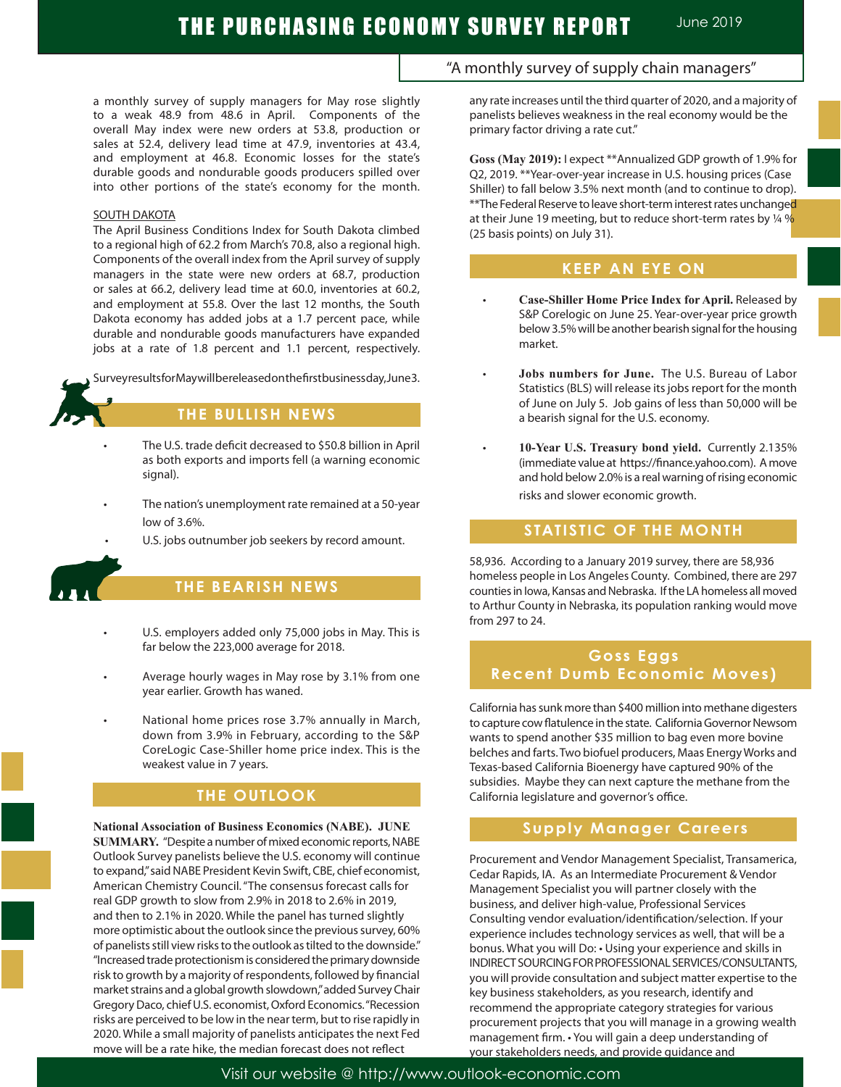a monthly survey of supply managers for May rose slightly to a weak 48.9 from 48.6 in April. Components of the overall May index were new orders at 53.8, production or sales at 52.4, delivery lead time at 47.9, inventories at 43.4, and employment at 46.8. Economic losses for the state's durable goods and nondurable goods producers spilled over into other portions of the state's economy for the month.

## SOUTH DAKOTA

The April Business Conditions Index for South Dakota climbed to a regional high of 62.2 from March's 70.8, also a regional high. Components of the overall index from the April survey of supply managers in the state were new orders at 68.7, production or sales at 66.2, delivery lead time at 60.0, inventories at 60.2, and employment at 55.8. Over the last 12 months, the South Dakota economy has added jobs at a 1.7 percent pace, while durable and nondurable goods manufacturers have expanded jobs at a rate of 1.8 percent and 1.1 percent, respectively.

Survey results for May will be released on the first business day, June 3.

# **THE BULLISH NEWS**

- The U.S. trade deficit decreased to \$50.8 billion in April as both exports and imports fell (a warning economic signal).
- The nation's unemployment rate remained at a 50-year low of 3.6%.
- U.S. jobs outnumber job seekers by record amount.



## **THE BEARISH NEWS**

- U.S. employers added only 75,000 jobs in May. This is far below the 223,000 average for 2018.
- Average hourly wages in May rose by 3.1% from one year earlier. Growth has waned.
- National home prices rose 3.7% annually in March, down from 3.9% in February, according to the S&P CoreLogic Case-Shiller home price index. This is the weakest value in 7 years.

## **THE OUTLOOK**

**National Association of Business Economics (NABE). JUNE SUMMARY.** "Despite a number of mixed economic reports, NABE Outlook Survey panelists believe the U.S. economy will continue to expand," said NABE President Kevin Swift, CBE, chief economist, American Chemistry Council. "The consensus forecast calls for real GDP growth to slow from 2.9% in 2018 to 2.6% in 2019, and then to 2.1% in 2020. While the panel has turned slightly more optimistic about the outlook since the previous survey, 60% of panelists still view risks to the outlook as tilted to the downside." "Increased trade protectionism is considered the primary downside risk to growth by a majority of respondents, followed by financial market strains and a global growth slowdown," added Survey Chair Gregory Daco, chief U.S. economist, Oxford Economics. "Recession risks are perceived to be low in the near term, but to rise rapidly in 2020. While a small majority of panelists anticipates the next Fed move will be a rate hike, the median forecast does not reflect

## "A monthly survey of supply chain managers"

any rate increases until the third quarter of 2020, and a majority of panelists believes weakness in the real economy would be the primary factor driving a rate cut."

**Goss (May 2019):** I expect \*\*Annualized GDP growth of 1.9% for Q2, 2019. \*\*Year-over-year increase in U.S. housing prices (Case Shiller) to fall below 3.5% next month (and to continue to drop). \*\*The Federal Reserve to leave short-term interest rates unchange<mark>d</mark> at their June 19 meeting, but to reduce short-term rates by  $\frac{1}{4}$  % (25 basis points) on July 31).

## **KEEP AN EYE ON**

- **Case-Shiller Home Price Index for April.** Released by S&P Corelogic on June 25. Year-over-year price growth below 3.5% will be another bearish signal for the housing market.
- **Jobs numbers for June.** The U.S. Bureau of Labor Statistics (BLS) will release its jobs report for the month of June on July 5. Job gains of less than 50,000 will be a bearish signal for the U.S. economy.
- 10-Year U.S. Treasury bond yield. Currently 2.135% (immediate value at https://finance.yahoo.com). A move and hold below 2.0% is a real warning of rising economic risks and slower economic growth.

## **STATISTIC OF THE MONTH STATISTIC OF THE MONTH**

58,936. According to a January 2019 survey, there are 58,936 homeless people in Los Angeles County. Combined, there are 297 counties in Iowa, Kansas and Nebraska. If the LA homeless all moved to Arthur County in Nebraska, its population ranking would move from 297 to 24.

# **Goss Eggs Recent Dumb Economic Moves)**

California has sunk more than \$400 million into methane digesters to capture cow flatulence in the state. California Governor Newsom wants to spend another \$35 million to bag even more bovine belches and farts. Two biofuel producers, Maas Energy Works and Texas-based California Bioenergy have captured 90% of the subsidies. Maybe they can next capture the methane from the California legislature and governor's office.

## **Supply Manager Careers**

Procurement and Vendor Management Specialist, Transamerica, Cedar Rapids, IA. As an Intermediate Procurement & Vendor Management Specialist you will partner closely with the business, and deliver high-value, Professional Services Consulting vendor evaluation/identification/selection. If your experience includes technology services as well, that will be a bonus. What you will Do: • Using your experience and skills in INDIRECT SOURCING FOR PROFESSIONAL SERVICES/CONSULTANTS, you will provide consultation and subject matter expertise to the key business stakeholders, as you research, identify and recommend the appropriate category strategies for various procurement projects that you will manage in a growing wealth management firm. • You will gain a deep understanding of your stakeholders needs, and provide guidance and

Visit our website @ http://www.outlook-economic.com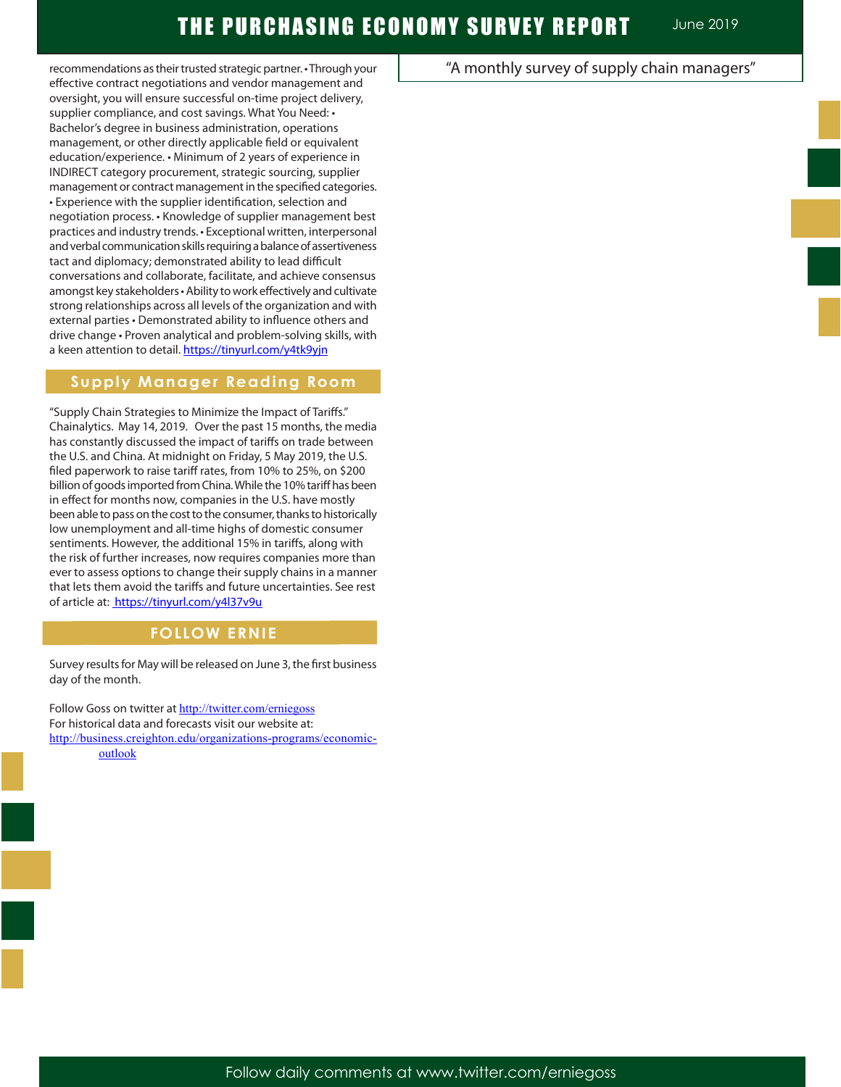recommendations as their trusted strategic partner. • Through your effective contract negotiations and vendor management and oversight, you will ensure successful on-time project delivery, supplier compliance, and cost savings. What You Need: • Bachelor's degree in business administration, operations management, or other directly applicable field or equivalent education/experience. • Minimum of 2 years of experience in INDIRECT category procurement, strategic sourcing, supplier management or contract management in the specified categories. • Experience with the supplier identification, selection and negotiation process. • Knowledge of supplier management best practices and industry trends. • Exceptional written, interpersonal and verbal communication skills requiring a balance of assertiveness tact and diplomacy; demonstrated ability to lead difficult conversations and collaborate, facilitate, and achieve consensus amongst key stakeholders · Ability to work effectively and cultivate strong relationships across all levels of the organization and with external parties • Demonstrated ability to influence others and drive change • Proven analytical and problem-solving skills, with a keen attention to detail. https://tinyurl.com/y4tk9yjn

## **Supply Manager Reading Room**

"Supply Chain Strategies to Minimize the Impact of Tariffs." Chainalytics. May 14, 2019. Over the past 15 months, the media has constantly discussed the impact of tariffs on trade between the U.S. and China. At midnight on Friday, 5 May 2019, the U.S. filed paperwork to raise tariff rates, from 10% to 25%, on \$200 billion of goods imported from China. While the 10% tariff has been in effect for months now, companies in the U.S. have mostly been able to pass on the cost to the consumer, thanks to historically low unemployment and all-time highs of domestic consumer sentiments. However, the additional 15% in tariffs, along with the risk of further increases, now requires companies more than ever to assess options to change their supply chains in a manner that lets them avoid the tariffs and future uncertainties. See rest of article at: https://tinyurl.com/y4l37v9u

# **FOLLOW ERNIE**

Survey results for May will be released on June 3, the first business day of the month.

Follow Goss on twitter at http://twitter.com/erniegoss For historical data and forecasts visit our website at: http://business.creighton.edu/organizations-programs/economicoutlook

# "A monthly survey of supply chain managers"